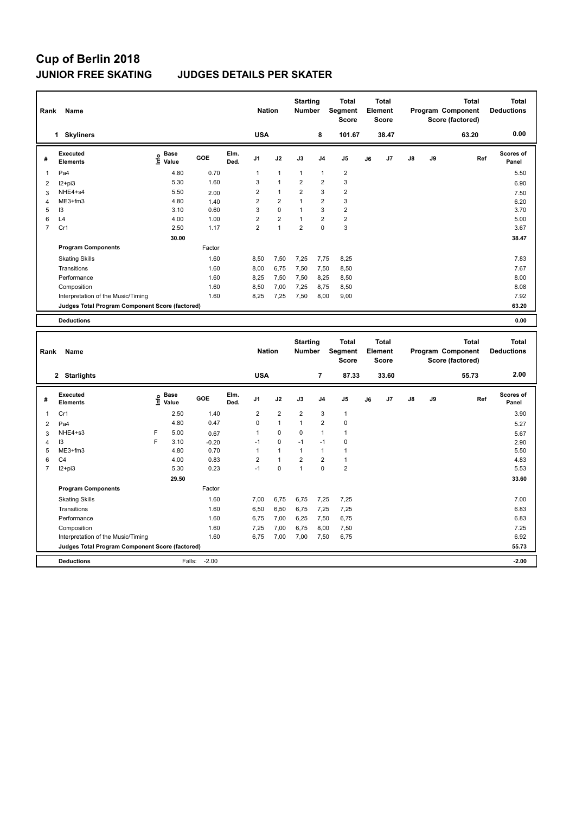#### **JUNIOR FREE SKATING JUDGES DETAILS PER SKATER**

| Rank<br>Name |                                                 |                                  |        |              |                | <b>Starting</b><br><b>Nation</b><br><b>Number</b> |                |                | <b>Total</b><br>Segment<br><b>Score</b> |    | <b>Total</b><br>Element<br><b>Score</b> |               |    | <b>Total</b><br>Program Component<br>Score (factored) | <b>Total</b><br><b>Deductions</b> |
|--------------|-------------------------------------------------|----------------------------------|--------|--------------|----------------|---------------------------------------------------|----------------|----------------|-----------------------------------------|----|-----------------------------------------|---------------|----|-------------------------------------------------------|-----------------------------------|
|              | <b>Skyliners</b><br>1                           |                                  |        |              | <b>USA</b>     |                                                   |                | 8              | 101.67                                  |    | 38.47                                   |               |    | 63.20                                                 | 0.00                              |
| #            | <b>Executed</b><br><b>Elements</b>              | <b>Base</b><br>e Base<br>⊆ Value | GOE    | Elm.<br>Ded. | J <sub>1</sub> | J2                                                | J3             | J <sub>4</sub> | J <sub>5</sub>                          | J6 | J7                                      | $\mathsf{J}8$ | J9 | Ref                                                   | <b>Scores of</b><br>Panel         |
| 1            | Pa4                                             | 4.80                             | 0.70   |              | 1              | $\mathbf{1}$                                      | $\mathbf{1}$   | $\mathbf{1}$   | $\overline{2}$                          |    |                                         |               |    |                                                       | 5.50                              |
| 2            | $12+pi3$                                        | 5.30                             | 1.60   |              | 3              | $\overline{1}$                                    | $\overline{2}$ | $\overline{2}$ | 3                                       |    |                                         |               |    |                                                       | 6.90                              |
| 3            | NHE4+s4                                         | 5.50                             | 2.00   |              | $\overline{2}$ | $\mathbf{1}$                                      | $\overline{2}$ | 3              | $\overline{2}$                          |    |                                         |               |    |                                                       | 7.50                              |
| 4            | ME3+fm3                                         | 4.80                             | 1.40   |              | $\overline{2}$ | $\overline{2}$                                    | $\mathbf{1}$   | $\overline{2}$ | 3                                       |    |                                         |               |    |                                                       | 6.20                              |
| 5            | I3                                              | 3.10                             | 0.60   |              | 3              | 0                                                 | 1              | 3              | $\overline{2}$                          |    |                                         |               |    |                                                       | 3.70                              |
| 6            | L4                                              | 4.00                             | 1.00   |              | $\overline{2}$ | $\overline{2}$                                    | 1              | $\overline{2}$ | $\overline{2}$                          |    |                                         |               |    |                                                       | 5.00                              |
| 7            | Cr1                                             | 2.50                             | 1.17   |              | $\overline{2}$ | $\blacktriangleleft$                              | $\overline{2}$ | $\mathbf 0$    | 3                                       |    |                                         |               |    |                                                       | 3.67                              |
|              |                                                 | 30.00                            |        |              |                |                                                   |                |                |                                         |    |                                         |               |    |                                                       | 38.47                             |
|              | <b>Program Components</b>                       |                                  | Factor |              |                |                                                   |                |                |                                         |    |                                         |               |    |                                                       |                                   |
|              | <b>Skating Skills</b>                           |                                  | 1.60   |              | 8,50           | 7,50                                              | 7,25           | 7,75           | 8,25                                    |    |                                         |               |    |                                                       | 7.83                              |
|              | Transitions                                     |                                  | 1.60   |              | 8,00           | 6,75                                              | 7,50           | 7,50           | 8,50                                    |    |                                         |               |    |                                                       | 7.67                              |
|              | Performance                                     |                                  | 1.60   |              | 8,25           | 7,50                                              | 7,50           | 8,25           | 8,50                                    |    |                                         |               |    |                                                       | 8.00                              |
|              | Composition                                     |                                  | 1.60   |              | 8,50           | 7,00                                              | 7,25           | 8,75           | 8,50                                    |    |                                         |               |    |                                                       | 8.08                              |
|              | Interpretation of the Music/Timing              |                                  | 1.60   |              | 8,25           | 7,25                                              | 7,50           | 8,00           | 9,00                                    |    |                                         |               |    |                                                       | 7.92                              |
|              | Judges Total Program Component Score (factored) |                                  |        |              |                |                                                   |                |                |                                         |    |                                         |               |    |                                                       | 63.20                             |
|              | <b>Deductions</b>                               |                                  |        |              |                |                                                   |                |                |                                         |    |                                         |               |    |                                                       | 0.00                              |

**Total Deductions Total Program Component Score (factored) Total Element Segment Score Total Score Starting Rank Name Nation Number # Executed Elements Base Info Value GOE J1 J2 J3 J4 J5 J6 J7 J8 J9 Scores of Panel** 1 2.50 1.40 2 2 2 3 1 **Ref**  3.90 **Elm. Ded.**  Cr1  **2 Starlights USA 7 87.33 33.60 55.73 2.00** 2 Pa4 4.80 0.47 0 1 1 2 0 5.27 3 NHE4+s3 F 5.00 0.67 1 0 0 1 1 5.67 4 I3 F 3.10 -0.20 -1 0 -1 -1 0 2.90 5 ME3+fm3 4.80 0.70 1 1 1 1 1 5.50 6 C4 4.00 0.83 2 1 2 2 1 4.83 7 I2+pi3 5.30 0.23 -1 0 1 0 2 5.53  **29.50 33.60 Program Components**  Skating Skills **7,00 6,75 6,75 7,25** 7,25 7,25 Factor 1.60 7,00 6,75 6,75 7,25 7,25 7,25 7,25 7.00 Transitions 1.60 6,50 6,50 6,75 7,25 7,25 6.83 Performance 1.60 6,75 7,00 6,25 7,50 6,75 6.83 Composition 1.60 7,25 7,00 6,75 8,00 7,50 7.25 Interpretation of the Music/Timing 1.60 6,75 7,00 7,00 7,50 6,75 6.92 6.92 **Deductions** Falls: -2.00 **-2.00 Judges Total Program Component Score (factored) 55.73**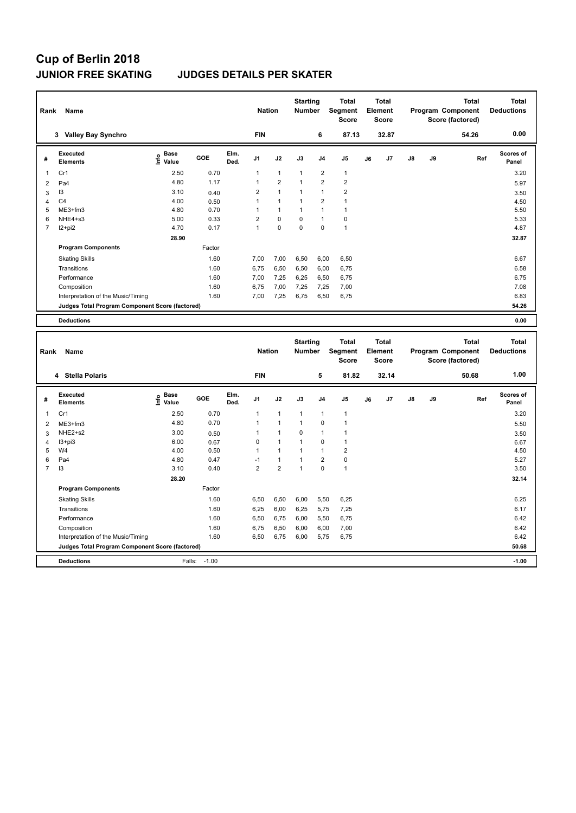### **JUNIOR FREE SKATING JUDGES DETAILS PER SKATER**

| Rank           | Name                                            | <b>Nation</b>                    |        | <b>Starting</b><br><b>Number</b> |                | <b>Total</b><br>Segment<br><b>Score</b> | <b>Total</b><br>Element<br>Score |                |                |    | <b>Total</b><br>Program Component<br>Score (factored) | <b>Total</b><br><b>Deductions</b> |    |       |                    |
|----------------|-------------------------------------------------|----------------------------------|--------|----------------------------------|----------------|-----------------------------------------|----------------------------------|----------------|----------------|----|-------------------------------------------------------|-----------------------------------|----|-------|--------------------|
|                | <b>Valley Bay Synchro</b><br>3                  |                                  |        |                                  | <b>FIN</b>     |                                         |                                  | 6              | 87.13          |    | 32.87                                                 |                                   |    | 54.26 | 0.00               |
| #              | Executed<br><b>Elements</b>                     | <b>Base</b><br>e Base<br>⊆ Value | GOE    | Elm.<br>Ded.                     | J <sub>1</sub> | J2                                      | J3                               | J <sub>4</sub> | J5             | J6 | J7                                                    | $\mathsf{J}8$                     | J9 | Ref   | Scores of<br>Panel |
| $\overline{1}$ | Cr1                                             | 2.50                             | 0.70   |                                  | 1              | $\overline{1}$                          | $\mathbf{1}$                     | $\overline{2}$ | $\mathbf{1}$   |    |                                                       |                                   |    |       | 3.20               |
| 2              | Pa4                                             | 4.80                             | 1.17   |                                  |                | $\overline{2}$                          | 1                                | $\overline{2}$ | $\overline{2}$ |    |                                                       |                                   |    |       | 5.97               |
| 3              | 13                                              | 3.10                             | 0.40   |                                  | 2              | 1                                       | 1                                | 1              | $\overline{2}$ |    |                                                       |                                   |    |       | 3.50               |
| 4              | C <sub>4</sub>                                  | 4.00                             | 0.50   |                                  |                | $\overline{1}$                          |                                  | $\overline{2}$ | 1              |    |                                                       |                                   |    |       | 4.50               |
| 5              | $ME3+fm3$                                       | 4.80                             | 0.70   |                                  |                | $\overline{1}$                          | 1                                | 1              | 1              |    |                                                       |                                   |    |       | 5.50               |
| 6              | NHE4+s3                                         | 5.00                             | 0.33   |                                  | $\overline{2}$ | $\mathbf 0$                             | $\mathbf 0$                      | $\overline{1}$ | 0              |    |                                                       |                                   |    |       | 5.33               |
| $\overline{7}$ | $12+pi2$                                        | 4.70                             | 0.17   |                                  | 1              | $\mathbf 0$                             | $\mathbf 0$                      | 0              | $\mathbf{1}$   |    |                                                       |                                   |    |       | 4.87               |
|                |                                                 | 28.90                            |        |                                  |                |                                         |                                  |                |                |    |                                                       |                                   |    |       | 32.87              |
|                | <b>Program Components</b>                       |                                  | Factor |                                  |                |                                         |                                  |                |                |    |                                                       |                                   |    |       |                    |
|                | <b>Skating Skills</b>                           |                                  | 1.60   |                                  | 7,00           | 7,00                                    | 6,50                             | 6,00           | 6,50           |    |                                                       |                                   |    |       | 6.67               |
|                | Transitions                                     |                                  | 1.60   |                                  | 6.75           | 6,50                                    | 6,50                             | 6,00           | 6.75           |    |                                                       |                                   |    |       | 6.58               |
|                | Performance                                     |                                  | 1.60   |                                  | 7.00           | 7,25                                    | 6.25                             | 6,50           | 6,75           |    |                                                       |                                   |    |       | 6.75               |
|                | Composition                                     |                                  | 1.60   |                                  | 6.75           | 7,00                                    | 7,25                             | 7,25           | 7,00           |    |                                                       |                                   |    |       | 7.08               |
|                | Interpretation of the Music/Timing              |                                  | 1.60   |                                  | 7,00           | 7,25                                    | 6,75                             | 6,50           | 6,75           |    |                                                       |                                   |    |       | 6.83               |
|                | Judges Total Program Component Score (factored) |                                  |        |                                  |                |                                         |                                  |                |                |    |                                                       |                                   |    |       | 54.26              |
|                | <b>Deductions</b>                               |                                  |        |                                  |                |                                         |                                  |                |                |    |                                                       |                                   |    |       | 0.00               |

|   | Rank<br>Name                                    |                                  |         |              |                |                      | <b>Starting</b><br><b>Number</b> |                | <b>Total</b><br>Segment<br><b>Score</b> | <b>Total</b><br>Element<br><b>Score</b> |       |               |    | <b>Total</b><br>Program Component<br>Score (factored) | <b>Total</b><br><b>Deductions</b> |
|---|-------------------------------------------------|----------------------------------|---------|--------------|----------------|----------------------|----------------------------------|----------------|-----------------------------------------|-----------------------------------------|-------|---------------|----|-------------------------------------------------------|-----------------------------------|
|   | 4 Stella Polaris                                |                                  |         |              | <b>FIN</b>     |                      |                                  | 5              | 81.82                                   |                                         | 32.14 |               |    | 50.68                                                 | 1.00                              |
| # | Executed<br><b>Elements</b>                     | <b>Base</b><br>e Base<br>⊆ Value | GOE     | Elm.<br>Ded. | J <sub>1</sub> | J2                   | J3                               | J <sub>4</sub> | J <sub>5</sub>                          | J6                                      | J7    | $\mathsf{J}8$ | J9 | Ref                                                   | <b>Scores of</b><br>Panel         |
| 1 | Cr1                                             | 2.50                             | 0.70    |              | 1              | 1                    | $\mathbf{1}$                     | 1              | $\overline{1}$                          |                                         |       |               |    |                                                       | 3.20                              |
| 2 | ME3+fm3                                         | 4.80                             | 0.70    |              | 1              | $\blacktriangleleft$ | $\mathbf{1}$                     | $\Omega$       | 1                                       |                                         |       |               |    |                                                       | 5.50                              |
| 3 | NHE2+s2                                         | 3.00                             | 0.50    |              | 1              | 1                    | $\Omega$                         | 1              | 1                                       |                                         |       |               |    |                                                       | 3.50                              |
| 4 | $13 + pi3$                                      | 6.00                             | 0.67    |              | 0              | $\mathbf{1}$         | $\mathbf{1}$                     | $\mathbf 0$    | 1                                       |                                         |       |               |    |                                                       | 6.67                              |
| 5 | W <sub>4</sub>                                  | 4.00                             | 0.50    |              | 1              | $\mathbf{1}$         | $\mathbf{1}$                     | 1              | $\overline{2}$                          |                                         |       |               |    |                                                       | 4.50                              |
| 6 | Pa4                                             | 4.80                             | 0.47    |              | $-1$           | $\mathbf{1}$         | $\mathbf{1}$                     | $\overline{2}$ | $\pmb{0}$                               |                                         |       |               |    |                                                       | 5.27                              |
| 7 | 13                                              | 3.10                             | 0.40    |              | $\overline{2}$ | $\overline{2}$       | 1                                | 0              | $\overline{1}$                          |                                         |       |               |    |                                                       | 3.50                              |
|   |                                                 | 28.20                            |         |              |                |                      |                                  |                |                                         |                                         |       |               |    |                                                       | 32.14                             |
|   | <b>Program Components</b>                       |                                  | Factor  |              |                |                      |                                  |                |                                         |                                         |       |               |    |                                                       |                                   |
|   | <b>Skating Skills</b>                           |                                  | 1.60    |              | 6.50           | 6,50                 | 6,00                             | 5,50           | 6,25                                    |                                         |       |               |    |                                                       | 6.25                              |
|   | Transitions                                     |                                  | 1.60    |              | 6,25           | 6,00                 | 6,25                             | 5,75           | 7,25                                    |                                         |       |               |    |                                                       | 6.17                              |
|   | Performance                                     |                                  | 1.60    |              | 6,50           | 6,75                 | 6,00                             | 5,50           | 6,75                                    |                                         |       |               |    |                                                       | 6.42                              |
|   | Composition                                     |                                  | 1.60    |              | 6,75           | 6,50                 | 6,00                             | 6,00           | 7,00                                    |                                         |       |               |    |                                                       | 6.42                              |
|   | Interpretation of the Music/Timing              |                                  | 1.60    |              | 6,50           | 6,75                 | 6,00                             | 5,75           | 6,75                                    |                                         |       |               |    |                                                       | 6.42                              |
|   | Judges Total Program Component Score (factored) |                                  |         |              |                |                      |                                  |                |                                         |                                         |       |               |    |                                                       | 50.68                             |
|   | <b>Deductions</b>                               | Falls:                           | $-1.00$ |              |                |                      |                                  |                |                                         |                                         |       |               |    |                                                       | $-1.00$                           |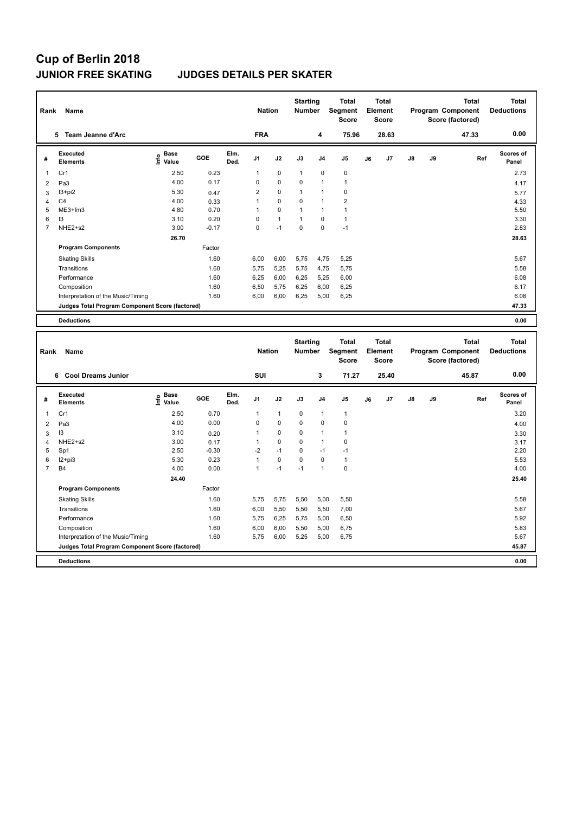#### **JUNIOR FREE SKATING JUDGES DETAILS PER SKATER**

| Rank | Name                                            |                              |         |              |                |              | <b>Starting</b><br><b>Nation</b><br><b>Number</b> |                | <b>Total</b><br>Segment<br><b>Score</b> | <b>Total</b><br>Element<br><b>Score</b> |       |               |    | <b>Total</b><br>Program Component<br>Score (factored) | <b>Total</b><br><b>Deductions</b> |
|------|-------------------------------------------------|------------------------------|---------|--------------|----------------|--------------|---------------------------------------------------|----------------|-----------------------------------------|-----------------------------------------|-------|---------------|----|-------------------------------------------------------|-----------------------------------|
|      | Team Jeanne d'Arc<br>5.                         |                              |         |              | <b>FRA</b>     |              |                                                   | 4              | 75.96                                   |                                         | 28.63 |               |    | 47.33                                                 | 0.00                              |
| #    | Executed<br><b>Elements</b>                     | <b>Base</b><br>lnfo<br>Value | GOE     | Elm.<br>Ded. | J <sub>1</sub> | J2           | J3                                                | J <sub>4</sub> | J <sub>5</sub>                          | J6                                      | J7    | $\mathsf{J}8$ | J9 | Ref                                                   | Scores of<br>Panel                |
| 1    | Cr1                                             | 2.50                         | 0.23    |              | 1              | $\mathbf 0$  | 1                                                 | $\mathbf 0$    | 0                                       |                                         |       |               |    |                                                       | 2.73                              |
| 2    | Pa3                                             | 4.00                         | 0.17    |              | $\Omega$       | $\mathbf 0$  | $\Omega$                                          | $\overline{1}$ | $\overline{1}$                          |                                         |       |               |    |                                                       | 4.17                              |
| 3    | I3+pi2                                          | 5.30                         | 0.47    |              | $\overline{2}$ | $\mathbf 0$  | 1                                                 | $\overline{1}$ | 0                                       |                                         |       |               |    |                                                       | 5.77                              |
| 4    | C <sub>4</sub>                                  | 4.00                         | 0.33    |              | 1              | $\mathbf 0$  | $\Omega$                                          | $\overline{1}$ | $\overline{2}$                          |                                         |       |               |    |                                                       | 4.33                              |
| 5    | $ME3+fm3$                                       | 4.80                         | 0.70    |              | 1              | 0            | 1                                                 | $\mathbf{1}$   | $\mathbf{1}$                            |                                         |       |               |    |                                                       | 5.50                              |
| 6    | 3                                               | 3.10                         | 0.20    |              | 0              | $\mathbf{1}$ | 1                                                 | $\mathbf 0$    | 1                                       |                                         |       |               |    |                                                       | 3.30                              |
| 7    | NHE2+s2                                         | 3.00                         | $-0.17$ |              | 0              | $-1$         | 0                                                 | 0              | $-1$                                    |                                         |       |               |    |                                                       | 2.83                              |
|      |                                                 | 26.70                        |         |              |                |              |                                                   |                |                                         |                                         |       |               |    |                                                       | 28.63                             |
|      | <b>Program Components</b>                       |                              | Factor  |              |                |              |                                                   |                |                                         |                                         |       |               |    |                                                       |                                   |
|      | <b>Skating Skills</b>                           |                              | 1.60    |              | 6.00           | 6,00         | 5,75                                              | 4,75           | 5,25                                    |                                         |       |               |    |                                                       | 5.67                              |
|      | Transitions                                     |                              | 1.60    |              | 5,75           | 5,25         | 5,75                                              | 4,75           | 5,75                                    |                                         |       |               |    |                                                       | 5.58                              |
|      | Performance                                     |                              | 1.60    |              | 6,25           | 6,00         | 6,25                                              | 5,25           | 6,00                                    |                                         |       |               |    |                                                       | 6.08                              |
|      | Composition                                     |                              | 1.60    |              | 6,50           | 5,75         | 6,25                                              | 6,00           | 6,25                                    |                                         |       |               |    |                                                       | 6.17                              |
|      | Interpretation of the Music/Timing              |                              | 1.60    |              | 6,00           | 6,00         | 6,25                                              | 5,00           | 6,25                                    |                                         |       |               |    |                                                       | 6.08                              |
|      | Judges Total Program Component Score (factored) |                              |         |              |                |              |                                                   |                |                                         |                                         |       |               |    |                                                       | 47.33                             |
|      | <b>Deductions</b>                               |                              |         |              |                |              |                                                   |                |                                         |                                         |       |               |    |                                                       | 0.00                              |

| Rank           | Name                                            |                                  |         |              |                |              | <b>Starting</b><br><b>Nation</b><br><b>Number</b> |                | <b>Total</b><br>Segment<br><b>Score</b> | <b>Total</b><br>Element<br><b>Score</b> |                | <b>Total</b><br>Program Component<br>Score (factored) |    |       | <b>Total</b><br><b>Deductions</b> |
|----------------|-------------------------------------------------|----------------------------------|---------|--------------|----------------|--------------|---------------------------------------------------|----------------|-----------------------------------------|-----------------------------------------|----------------|-------------------------------------------------------|----|-------|-----------------------------------|
|                | <b>Cool Dreams Junior</b><br>6.                 |                                  |         |              | SUI            |              |                                                   | 3              | 71.27                                   |                                         | 25.40          |                                                       |    | 45.87 | 0.00                              |
| #              | Executed<br><b>Elements</b>                     | <b>Base</b><br>e Base<br>E Value | GOE     | Elm.<br>Ded. | J <sub>1</sub> | J2           | J3                                                | J <sub>4</sub> | J <sub>5</sub>                          | J6                                      | J <sub>7</sub> | J8                                                    | J9 | Ref   | <b>Scores of</b><br>Panel         |
| 1              | Cr1                                             | 2.50                             | 0.70    |              | 1              | $\mathbf{1}$ | $\mathbf 0$                                       | 1              | $\mathbf{1}$                            |                                         |                |                                                       |    |       | 3.20                              |
| $\overline{2}$ | Pa <sub>3</sub>                                 | 4.00                             | 0.00    |              | $\Omega$       | $\mathbf 0$  | $\Omega$                                          | $\Omega$       | $\mathbf 0$                             |                                         |                |                                                       |    |       | 4.00                              |
| 3              | 13                                              | 3.10                             | 0.20    |              | 1              | $\mathbf 0$  | $\Omega$                                          | 1              | 1                                       |                                         |                |                                                       |    |       | 3.30                              |
| 4              | NHE2+s2                                         | 3.00                             | 0.17    |              | 1              | $\mathbf 0$  | $\mathbf 0$                                       | 1              | $\mathbf 0$                             |                                         |                |                                                       |    |       | 3.17                              |
| 5              | Sp1                                             | 2.50                             | $-0.30$ |              | $-2$           | $-1$         | $\mathbf 0$                                       | $-1$           | $-1$                                    |                                         |                |                                                       |    |       | 2.20                              |
| 6              | $12 + pi3$                                      | 5.30                             | 0.23    |              | 1              | $\mathbf 0$  | $\Omega$                                          | $\Omega$       | $\mathbf{1}$                            |                                         |                |                                                       |    |       | 5.53                              |
| 7              | <b>B4</b>                                       | 4.00                             | 0.00    |              | 1              | $-1$         | $-1$                                              | 1              | $\pmb{0}$                               |                                         |                |                                                       |    |       | 4.00                              |
|                |                                                 | 24.40                            |         |              |                |              |                                                   |                |                                         |                                         |                |                                                       |    |       | 25.40                             |
|                | <b>Program Components</b>                       |                                  | Factor  |              |                |              |                                                   |                |                                         |                                         |                |                                                       |    |       |                                   |
|                | <b>Skating Skills</b>                           |                                  | 1.60    |              | 5,75           | 5,75         | 5,50                                              | 5,00           | 5,50                                    |                                         |                |                                                       |    |       | 5.58                              |
|                | Transitions                                     |                                  | 1.60    |              | 6,00           | 5,50         | 5,50                                              | 5,50           | 7,00                                    |                                         |                |                                                       |    |       | 5.67                              |
|                | Performance                                     |                                  | 1.60    |              | 5.75           | 6,25         | 5,75                                              | 5,00           | 6,50                                    |                                         |                |                                                       |    |       | 5.92                              |
|                | Composition                                     |                                  | 1.60    |              | 6,00           | 6,00         | 5,50                                              | 5,00           | 6,75                                    |                                         |                |                                                       |    |       | 5.83                              |
|                | Interpretation of the Music/Timing              |                                  | 1.60    |              | 5,75           | 6,00         | 5,25                                              | 5,00           | 6,75                                    |                                         |                |                                                       |    |       | 5.67                              |
|                | Judges Total Program Component Score (factored) |                                  |         |              |                |              |                                                   |                |                                         |                                         |                |                                                       |    |       | 45.87                             |
|                | <b>Deductions</b>                               |                                  |         |              |                |              |                                                   |                |                                         |                                         |                |                                                       |    |       | 0.00                              |